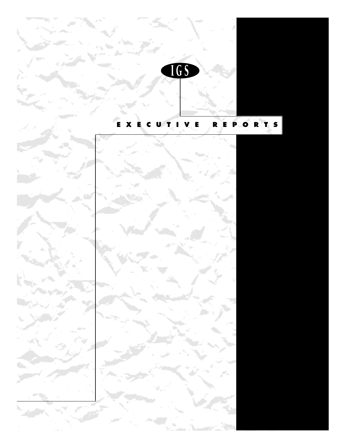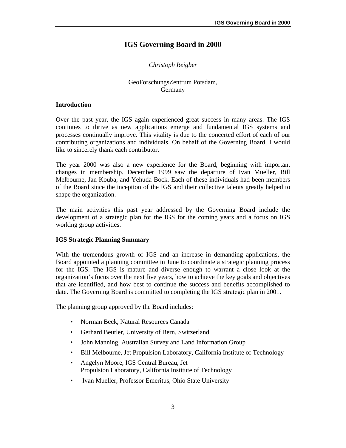# **IGS Governing Board in 2000**

# *Christoph Reigber*

# GeoForschungsZentrum Potsdam, Germany

#### **Introduction**

Over the past year, the IGS again experienced great success in many areas. The IGS continues to thrive as new applications emerge and fundamental IGS systems and processes continually improve. This vitality is due to the concerted effort of each of our contributing organizations and individuals. On behalf of the Governing Board, I would like to sincerely thank each contributor.

The year 2000 was also a new experience for the Board, beginning with important changes in membership. December 1999 saw the departure of Ivan Mueller, Bill Melbourne, Jan Kouba, and Yehuda Bock. Each of these individuals had been members of the Board since the inception of the IGS and their collective talents greatly helped to shape the organization.

The main activities this past year addressed by the Governing Board include the development of a strategic plan for the IGS for the coming years and a focus on IGS working group activities.

### **IGS Strategic Planning Summary**

With the tremendous growth of IGS and an increase in demanding applications, the Board appointed a planning committee in June to coordinate a strategic planning process for the IGS. The IGS is mature and diverse enough to warrant a close look at the organization's focus over the next five years, how to achieve the key goals and objectives that are identified, and how best to continue the success and benefits accomplished to date. The Governing Board is committed to completing the IGS strategic plan in 2001.

The planning group approved by the Board includes:

- Norman Beck, Natural Resources Canada
- Gerhard Beutler, University of Bern, Switzerland
- John Manning, Australian Survey and Land Information Group
- Bill Melbourne, Jet Propulsion Laboratory, California Institute of Technology
- Angelyn Moore, IGS Central Bureau, Jet Propulsion Laboratory, California Institute of Technology
- Ivan Mueller, Professor Emeritus, Ohio State University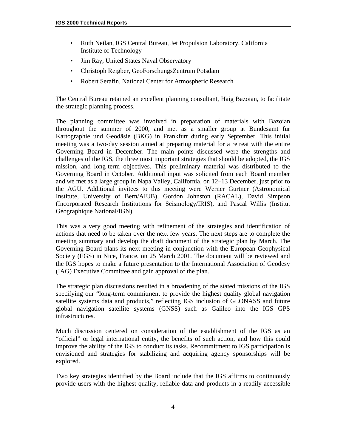- Ruth Neilan, IGS Central Bureau, Jet Propulsion Laboratory, California Institute of Technology
- Jim Ray, United States Naval Observatory
- Christoph Reigber, GeoForschungsZentrum Potsdam
- Robert Serafin, National Center for Atmospheric Research

The Central Bureau retained an excellent planning consultant, Haig Bazoian, to facilitate the strategic planning process.

The planning committee was involved in preparation of materials with Bazoian throughout the summer of 2000, and met as a smaller group at Bundesamt für Kartographie und Geodäsie (BKG) in Frankfurt during early September. This initial meeting was a two-day session aimed at preparing material for a retreat with the entire Governing Board in December. The main points discussed were the strengths and challenges of the IGS, the three most important strategies that should be adopted, the IGS mission, and long-term objectives. This preliminary material was distributed to the Governing Board in October. Additional input was solicited from each Board member and we met as a large group in Napa Valley, California, on 12–13 December, just prior to the AGU. Additional invitees to this meeting were Werner Gurtner (Astronomical Institute, University of Bern/AIUB), Gordon Johnston (RACAL), David Simpson (Incorporated Research Institutions for Seismology/IRIS), and Pascal Willis (Institut Géographique National/IGN).

This was a very good meeting with refinement of the strategies and identification of actions that need to be taken over the next few years. The next steps are to complete the meeting summary and develop the draft document of the strategic plan by March. The Governing Board plans its next meeting in conjunction with the European Geophysical Society (EGS) in Nice, France, on 25 March 2001. The document will be reviewed and the IGS hopes to make a future presentation to the International Association of Geodesy (IAG) Executive Committee and gain approval of the plan.

The strategic plan discussions resulted in a broadening of the stated missions of the IGS specifying our "long-term commitment to provide the highest quality global navigation satellite systems data and products," reflecting IGS inclusion of GLONASS and future global navigation satellite systems (GNSS) such as Galileo into the IGS GPS infrastructures.

Much discussion centered on consideration of the establishment of the IGS as an "official" or legal international entity, the benefits of such action, and how this could improve the ability of the IGS to conduct its tasks. Recommitment to IGS participation is envisioned and strategies for stabilizing and acquiring agency sponsorships will be explored.

Two key strategies identified by the Board include that the IGS affirms to continuously provide users with the highest quality, reliable data and products in a readily accessible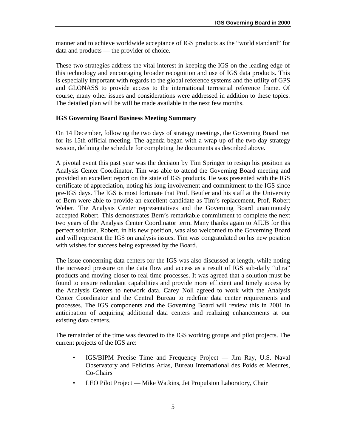manner and to achieve worldwide acceptance of IGS products as the "world standard" for data and products — the provider of choice.

These two strategies address the vital interest in keeping the IGS on the leading edge of this technology and encouraging broader recognition and use of IGS data products. This is especially important with regards to the global reference systems and the utility of GPS and GLONASS to provide access to the international terrestrial reference frame. Of course, many other issues and considerations were addressed in addition to these topics. The detailed plan will be will be made available in the next few months.

### **IGS Governing Board Business Meeting Summary**

On 14 December, following the two days of strategy meetings, the Governing Board met for its 15th official meeting. The agenda began with a wrap-up of the two-day strategy session, defining the schedule for completing the documents as described above.

A pivotal event this past year was the decision by Tim Springer to resign his position as Analysis Center Coordinator. Tim was able to attend the Governing Board meeting and provided an excellent report on the state of IGS products. He was presented with the IGS certificate of appreciation, noting his long involvement and commitment to the IGS since pre-IGS days. The IGS is most fortunate that Prof. Beutler and his staff at the University of Bern were able to provide an excellent candidate as Tim's replacement, Prof. Robert Weber. The Analysis Center representatives and the Governing Board unanimously accepted Robert. This demonstrates Bern's remarkable commitment to complete the next two years of the Analysis Center Coordinator term. Many thanks again to AIUB for this perfect solution. Robert, in his new position, was also welcomed to the Governing Board and will represent the IGS on analysis issues. Tim was congratulated on his new position with wishes for success being expressed by the Board.

The issue concerning data centers for the IGS was also discussed at length, while noting the increased pressure on the data flow and access as a result of IGS sub-daily "ultra" products and moving closer to real-time processes. It was agreed that a solution must be found to ensure redundant capabilities and provide more efficient and timely access by the Analysis Centers to network data. Carey Noll agreed to work with the Analysis Center Coordinator and the Central Bureau to redefine data center requirements and processes. The IGS components and the Governing Board will review this in 2001 in anticipation of acquiring additional data centers and realizing enhancements at our existing data centers.

The remainder of the time was devoted to the IGS working groups and pilot projects. The current projects of the IGS are:

- IGS/BIPM Precise Time and Frequency Project Jim Ray, U.S. Naval Observatory and Felicitas Arias, Bureau International des Poids et Mesures, Co-Chairs
- LEO Pilot Project Mike Watkins, Jet Propulsion Laboratory, Chair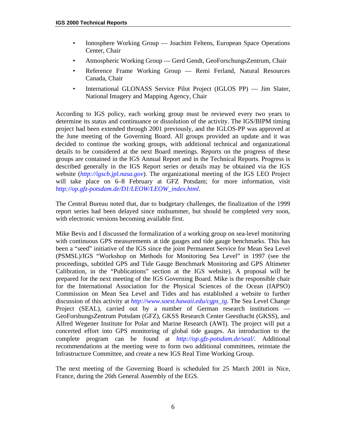- Ionosphere Working Group Joachim Feltens, European Space Operations Center, Chair
- Atmospheric Working Group Gerd Gendt, GeoForschungsZentrum, Chair
- Reference Frame Working Group Remi Ferland, Natural Resources Canada, Chair
- International GLONASS Service Pilot Project (IGLOS PP) Jim Slater, National Imagery and Mapping Agency, Chair

According to IGS policy, each working group must be reviewed every two years to determine its status and continuance or dissolution of the activity. The IGS/BIPM timing project had been extended through 2001 previously, and the IGLOS-PP was approved at the June meeting of the Governing Board. All groups provided an update and it was decided to continue the working groups, with additional technical and organizational details to be considered at the next Board meetings. Reports on the progress of these groups are contained in the IGS Annual Report and in the Technical Reports. Progress is described generally in the IGS Report series or details may be obtained via the IGS website (*<http://igscb.jpl.nasa.gov>*). The organizational meeting of the IGS LEO Project will take place on 6–8 February at GFZ Potsdam; for more information, visit *[http://op.gfz-potsdam.de/D1/LEOW/LEOW\\_index.html](http://op.gfz-potsdam.de/D1/LEOW/LEOW_index.html)*.

The Central Bureau noted that, due to budgetary challenges, the finalization of the 1999 report series had been delayed since midsummer, but should be completed very soon, with electronic versions becoming available first.

Mike Bevis and I discussed the formalization of a working group on sea-level monitoring with continuous GPS measurements at tide gauges and tide gauge benchmarks. This has been a "seed" initiative of the IGS since the joint Permanent Service for Mean Sea Level (PSMSL)/IGS "Workshop on Methods for Monitoring Sea Level" in 1997 (see the proceedings, subtitled GPS and Tide Gauge Benchmark Monitoring and GPS Altimeter Calibration, in the "Publications" section at the IGS website). A proposal will be prepared for the next meeting of the IGS Governing Board. Mike is the responsible chair for the International Association for the Physical Sciences of the Ocean (IAPSO) Commission on Mean Sea Level and Tides and has established a website to further discussion of this activity at *[http://www.soest.hawaii.edu/cgps\\_tg](http://www.soest.hawaii.edu/cgps_tg)*. The Sea Level Change Project (SEAL), carried out by a number of German research institutions — GeoForshungsZentrum Potsdam (GFZ), GKSS Research Center Geesthacht (GKSS), and Alfred Wegener Institute for Polar and Marine Research (AWI). The project will put a concerted effort into GPS monitoring of global tide gauges. An introduction to the complete program can be found at *<http://op.gfz-potsdam.de/seal/>*. Additional recommendations at the meeting were to form two additional committees, reinstate the Infrastructure Committee, and create a new IGS Real Time Working Group.

The next meeting of the Governing Board is scheduled for 25 March 2001 in Nice, France, during the 26th General Assembly of the EGS.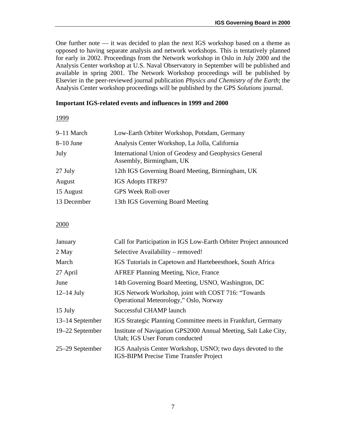One further note — it was decided to plan the next IGS workshop based on a theme as opposed to having separate analysis and network workshops. This is tentatively planned for early in 2002. Proceedings from the Network workshop in Oslo in July 2000 and the Analysis Center workshop at U.S. Naval Observatory in September will be published and available in spring 2001. The Network Workshop proceedings will be published by Elsevier in the peer-reviewed journal publication *Physics and Chemistry of the Earth*; the Analysis Center workshop proceedings will be published by the GPS *Solutions* journal.

#### **Important IGS-related events and influences in 1999 and 2000**

1999

| 9-11 March  | Low-Earth Orbiter Workshop, Potsdam, Germany                                      |
|-------------|-----------------------------------------------------------------------------------|
| $8-10$ June | Analysis Center Workshop, La Jolla, California                                    |
| July        | International Union of Geodesy and Geophysics General<br>Assembly, Birmingham, UK |
| 27 July     | 12th IGS Governing Board Meeting, Birmingham, UK                                  |
| August      | <b>IGS Adopts ITRF97</b>                                                          |
| 15 August   | <b>GPS Week Roll-over</b>                                                         |
| 13 December | 13th IGS Governing Board Meeting                                                  |
|             |                                                                                   |

#### 2000

| January         | Call for Participation in IGS Low-Earth Orbiter Project announced                                            |
|-----------------|--------------------------------------------------------------------------------------------------------------|
| 2 May           | Selective Availability – removed!                                                                            |
| March           | IGS Tutorials in Capetown and Hartebeesthoek, South Africa                                                   |
| 27 April        | <b>AFREF Planning Meeting, Nice, France</b>                                                                  |
| June            | 14th Governing Board Meeting, USNO, Washington, DC                                                           |
| $12-14$ July    | IGS Network Workshop, joint with COST 716: "Towards<br>Operational Meteorology," Oslo, Norway                |
| 15 July         | Successful CHAMP launch                                                                                      |
| 13–14 September | IGS Strategic Planning Committee meets in Frankfurt, Germany                                                 |
| 19–22 September | Institute of Navigation GPS2000 Annual Meeting, Salt Lake City,<br>Utah; IGS User Forum conducted            |
| 25–29 September | IGS Analysis Center Workshop, USNO; two days devoted to the<br><b>IGS-BIPM Precise Time Transfer Project</b> |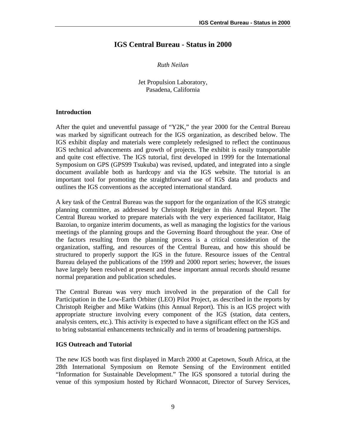# **IGS Central Bureau - Status in 2000**

#### *Ruth Neilan*

#### Jet Propulsion Laboratory, Pasadena, California

#### **Introduction**

After the quiet and uneventful passage of "Y2K," the year 2000 for the Central Bureau was marked by significant outreach for the IGS organization, as described below. The IGS exhibit display and materials were completely redesigned to reflect the continuous IGS technical advancements and growth of projects. The exhibit is easily transportable and quite cost effective. The IGS tutorial, first developed in 1999 for the International Symposium on GPS (GPS99 Tsukuba) was revised, updated, and integrated into a single document available both as hardcopy and via the IGS website. The tutorial is an important tool for promoting the straightforward use of IGS data and products and outlines the IGS conventions as the accepted international standard.

A key task of the Central Bureau was the support for the organization of the IGS strategic planning committee, as addressed by Christoph Reigber in this Annual Report. The Central Bureau worked to prepare materials with the very experienced facilitator, Haig Bazoian, to organize interim documents, as well as managing the logistics for the various meetings of the planning groups and the Governing Board throughout the year. One of the factors resulting from the planning process is a critical consideration of the organization, staffing, and resources of the Central Bureau, and how this should be structured to properly support the IGS in the future. Resource issues of the Central Bureau delayed the publications of the 1999 and 2000 report series; however, the issues have largely been resolved at present and these important annual records should resume normal preparation and publication schedules.

The Central Bureau was very much involved in the preparation of the Call for Participation in the Low-Earth Orbiter (LEO) Pilot Project, as described in the reports by Christoph Reigber and Mike Watkins (this Annual Report). This is an IGS project with appropriate structure involving every component of the IGS (station, data centers, analysis centers, etc.). This activity is expected to have a significant effect on the IGS and to bring substantial enhancements technically and in terms of broadening partnerships.

#### **IGS Outreach and Tutorial**

The new IGS booth was first displayed in March 2000 at Capetown, South Africa, at the 28th International Symposium on Remote Sensing of the Environment entitled "Information for Sustainable Development." The IGS sponsored a tutorial during the venue of this symposium hosted by Richard Wonnacott, Director of Survey Services,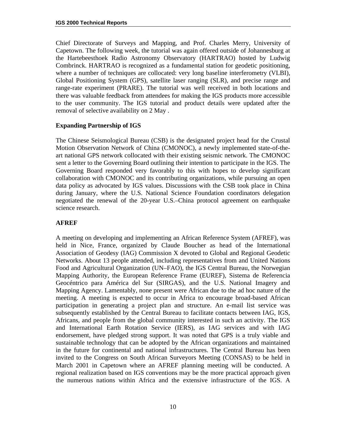Chief Directorate of Surveys and Mapping, and Prof. Charles Merry, University of Capetown. The following week, the tutorial was again offered outside of Johannesburg at the Hartebeesthoek Radio Astronomy Observatory (HARTRAO) hosted by Ludwig Combrinck. HARTRAO is recognized as a fundamental station for geodetic positioning, where a number of techniques are collocated: very long baseline interferometry (VLBI), Global Positioning System (GPS), satellite laser ranging (SLR), and precise range and range-rate experiment (PRARE). The tutorial was well received in both locations and there was valuable feedback from attendees for making the IGS products more accessible to the user community. The IGS tutorial and product details were updated after the removal of selective availability on 2 May .

#### **Expanding Partnership of IGS**

The Chinese Seismological Bureau (CSB) is the designated project head for the Crustal Motion Observation Network of China (CMONOC), a newly implemented state-of-theart national GPS network collocated with their existing seismic network. The CMONOC sent a letter to the Governing Board outlining their intention to participate in the IGS. The Governing Board responded very favorably to this with hopes to develop significant collaboration with CMONOC and its contributing organizations, while pursuing an open data policy as advocated by IGS values. Discussions with the CSB took place in China during January, where the U.S. National Science Foundation coordinators delegation negotiated the renewal of the 20-year U.S.–China protocol agreement on earthquake science research.

#### **AFREF**

A meeting on developing and implementing an African Reference System (AFREF), was held in Nice, France, organized by Claude Boucher as head of the International Association of Geodesy (IAG) Commission X devoted to Global and Regional Geodetic Networks. About 13 people attended, including representatives from and United Nations Food and Agricultural Organization (UN–FAO), the IGS Central Bureau, the Norwegian Mapping Authority, the European Reference Frame (EUREF), Sistema de Referencia Geocéntrico para América del Sur (SIRGAS), and the U.S. National Imagery and Mapping Agency. Lamentably, none present were African due to the ad hoc nature of the meeting. A meeting is expected to occur in Africa to encourage broad-based African participation in generating a project plan and structure. An e-mail list service was subsequently established by the Central Bureau to facilitate contacts between IAG, IGS, Africans, and people from the global community interested in such an activity. The IGS and International Earth Rotation Service (IERS), as IAG services and with IAG endorsement, have pledged strong support. It was noted that GPS is a truly viable and sustainable technology that can be adopted by the African organizations and maintained in the future for continental and national infrastructures. The Central Bureau has been invited to the Congress on South African Surveyors Meeting (CONSAS) to be held in March 2001 in Capetown where an AFREF planning meeting will be conducted. A regional realization based on IGS conventions may be the more practical approach given the numerous nations within Africa and the extensive infrastructure of the IGS. A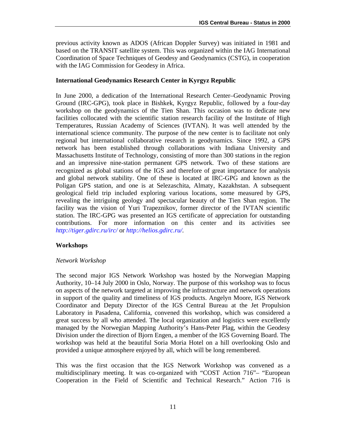previous activity known as ADOS (African Doppler Survey) was initiated in 1981 and based on the TRANSIT satellite system. This was organized within the IAG International Coordination of Space Techniques of Geodesy and Geodynamics (CSTG), in cooperation with the IAG Commission for Geodesy in Africa.

#### **International Geodynamics Research Center in Kyrgyz Republic**

In June 2000, a dedication of the International Research Center–Geodynamic Proving Ground (IRC-GPG), took place in Bishkek, Kyrgyz Republic, followed by a four-day workshop on the geodynamics of the Tien Shan. This occasion was to dedicate new facilities collocated with the scientific station research facility of the Institute of High Temperatures, Russian Academy of Sciences (IVTAN). It was well attended by the international science community. The purpose of the new center is to facilitate not only regional but international collaborative research in geodynamics. Since 1992, a GPS network has been established through collaborations with Indiana University and Massachusetts Institute of Technology, consisting of more than 300 stations in the region and an impressive nine-station permanent GPS network. Two of these stations are recognized as global stations of the IGS and therefore of great importance for analysis and global network stability. One of these is located at IRC-GPG and known as the Poligan GPS station, and one is at Selezaschita, Almaty, Kazakhstan. A subsequent geological field trip included exploring various locations, some measured by GPS, revealing the intriguing geology and spectacular beauty of the Tien Shan region. The facility was the vision of Yuri Trapeznikov, former director of the IVTAN scientific station. The IRC-GPG was presented an IGS certificate of appreciation for outstanding contributions. For more information on this center and its activities see *<http://tiger.gdirc.ru/irc/>* or *[http://helios.gdirc.ru/.](http://helios.gdirc.ru/)*

### **Workshops**

#### *Network Workshop*

The second major IGS Network Workshop was hosted by the Norwegian Mapping Authority, 10–14 July 2000 in Oslo, Norway. The purpose of this workshop was to focus on aspects of the network targeted at improving the infrastructure and network operations in support of the quality and timeliness of IGS products. Angelyn Moore, IGS Network Coordinator and Deputy Director of the IGS Central Bureau at the Jet Propulsion Laboratory in Pasadena, California, convened this workshop, which was considered a great success by all who attended. The local organization and logistics were excellently managed by the Norwegian Mapping Authority's Hans-Peter Plag, within the Geodesy Division under the direction of Bjorn Engen, a member of the IGS Governing Board. The workshop was held at the beautiful Soria Moria Hotel on a hill overlooking Oslo and provided a unique atmosphere enjoyed by all, which will be long remembered.

This was the first occasion that the IGS Network Workshop was convened as a multidisciplinary meeting. It was co-organized with "COST Action 716"– "European Cooperation in the Field of Scientific and Technical Research." Action 716 is